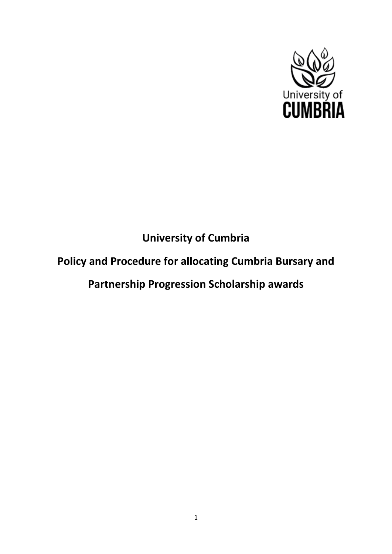

# **University of Cumbria**

# **Policy and Procedure for allocating Cumbria Bursary and**

# **Partnership Progression Scholarship awards**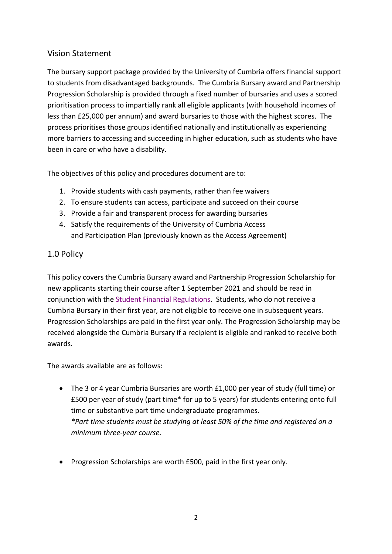#### Vision Statement

The bursary support package provided by the University of Cumbria offers financial support to students from disadvantaged backgrounds. The Cumbria Bursary award and Partnership Progression Scholarship is provided through a fixed number of bursaries and uses a scored prioritisation process to impartially rank all eligible applicants (with household incomes of less than £25,000 per annum) and award bursaries to those with the highest scores. The process prioritises those groups identified nationally and institutionally as experiencing more barriers to accessing and succeeding in higher education, such as students who have been in care or who have a disability.

The objectives of this policy and procedures document are to:

- 1. Provide students with cash payments, rather than fee waivers
- 2. To ensure students can access, participate and succeed on their course
- 3. Provide a fair and transparent process for awarding bursaries
- 4. Satisfy the requirements of the University of Cumbria Access and Participation Plan (previously known as the Access Agreement)

#### 1.0 Policy

This policy covers the Cumbria Bursary award and Partnership Progression Scholarship for new applicants starting their course after 1 September 2021 and should be read in conjunction with the [Student Financial Regulations.](https://www.cumbria.ac.uk/study/student-finance/undergraduate/) Students, who do not receive a Cumbria Bursary in their first year, are not eligible to receive one in subsequent years. Progression Scholarships are paid in the first year only. The Progression Scholarship may be received alongside the Cumbria Bursary if a recipient is eligible and ranked to receive both awards.

The awards available are as follows:

- The 3 or 4 year Cumbria Bursaries are worth £1,000 per year of study (full time) or £500 per year of study (part time\* for up to 5 years) for students entering onto full time or substantive part time undergraduate programmes. *\*Part time students must be studying at least 50% of the time and registered on a minimum three-year course.*
- Progression Scholarships are worth £500, paid in the first year only.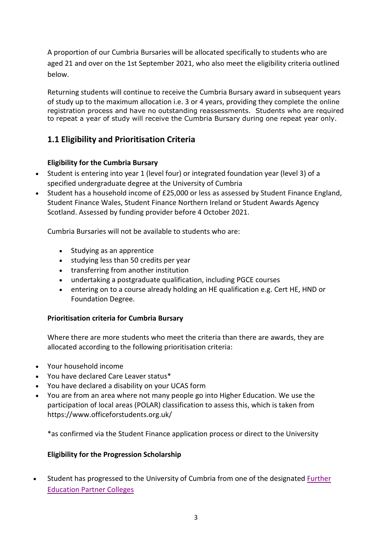A proportion of our Cumbria Bursaries will be allocated specifically to students who are aged 21 and over on the 1st September 2021, who also meet the eligibility criteria outlined below.

Returning students will continue to receive the Cumbria Bursary award in subsequent years of study up to the maximum allocation i.e. 3 or 4 years, providing they complete the online registration process and have no outstanding reassessments. Students who are required to repeat a year of study will receive the Cumbria Bursary during one repeat year only.

# **1.1 Eligibility and Prioritisation Criteria**

#### **Eligibility for the Cumbria Bursary**

- Student is entering into year 1 (level four) or integrated foundation year (level 3) of a specified undergraduate degree at the University of Cumbria
- Student has a household income of £25,000 or less as assessed by Student Finance England, Student Finance Wales, Student Finance Northern Ireland or Student Awards Agency Scotland. Assessed by funding provider before 4 October 2021.

Cumbria Bursaries will not be available to students who are:

- Studying as an apprentice
- studying less than 50 credits per year
- transferring from another institution
- undertaking a postgraduate qualification, including PGCE courses
- entering on to a course already holding an HE qualification e.g. Cert HE, HND or Foundation Degree.

#### **Prioritisation criteria for Cumbria Bursary**

Where there are more students who meet the criteria than there are awards, they are allocated according to the following prioritisation criteria:

- Your household income
- You have declared Care Leaver status\*
- You have declared a disability on your UCAS form
- You are from an area where not many people go into Higher Education. We use the participation of local areas (POLAR) classification to assess this, which is taken from <https://www.officeforstudents.org.uk/>

\*as confirmed via the Student Finance application process or direct to the University

#### **Eligibility for the Progression Scholarship**

• Student has progressed to the University of Cumbria from one of the designated [Further](https://www.cumbria.ac.uk/study/student-finance/scholarships-and-bursaries/)  [Education Partner Colleges](https://www.cumbria.ac.uk/study/student-finance/scholarships-and-bursaries/)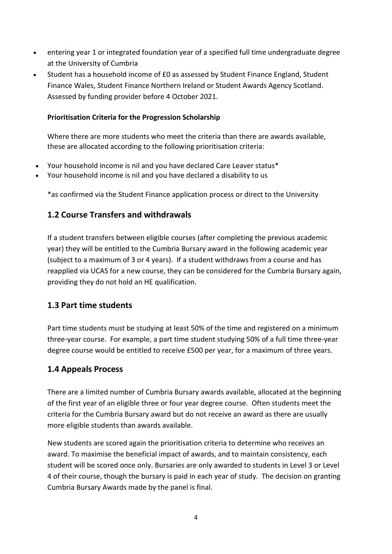- entering year 1 or integrated foundation year of a specified full time undergraduate degree at the University of Cumbria
- Student has a household income of £0 as assessed by Student Finance England, Student Finance Wales, Student Finance Northern Ireland or Student Awards Agency Scotland. Assessed by funding provider before 4 October 2021.

#### **Prioritisation Criteria for the Progression Scholarship**

Where there are more students who meet the criteria than there are awards available, these are allocated according to the following prioritisation criteria:

- Your household income is nil and you have declared Care Leaver status\*
- Your household income is nil and you have declared a disability to us

\*as confirmed via the Student Finance application process or direct to the University

## **1.2 Course Transfers and withdrawals**

If a student transfers between eligible courses (after completing the previous academic year) they will be entitled to the Cumbria Bursary award in the following academic year (subject to a maximum of 3 or 4 years). If a student withdraws from a course and has reapplied via UCAS for a new course, they can be considered for the Cumbria Bursary again, providing they do not hold an HE qualification.

#### **1.3 Part time students**

Part time students must be studying at least 50% of the time and registered on a minimum three-year course. For example, a part time student studying 50% of a full time three-year degree course would be entitled to receive £500 per year, for a maximum of three years.

## **1.4 Appeals Process**

There are a limited number of Cumbria Bursary awards available, allocated at the beginning of the first year of an eligible three or four year degree course. Often students meet the criteria for the Cumbria Bursary award but do not receive an award as there are usually more eligible students than awards available.

New students are scored again the prioritisation criteria to determine who receives an award. To maximise the beneficial impact of awards, and to maintain consistency, each student will be scored once only. Bursaries are only awarded to students in Level 3 or Level 4 of their course, though the bursary is paid in each year of study. The decision on granting Cumbria Bursary Awards made by the panel is final.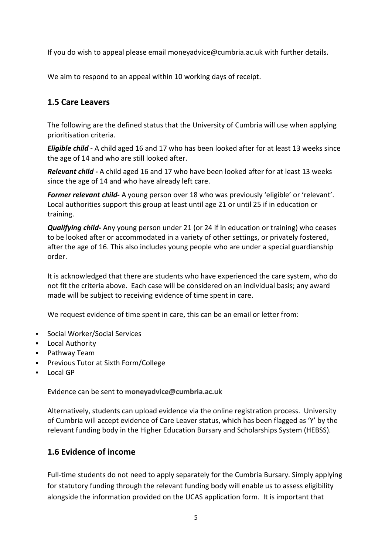If you do wish to appeal please email [moneyadvice@cumbria.ac.uk](mailto:moneyadvice@cumbria.ac.uk) with further details.

We aim to respond to an appeal within 10 working days of receipt.

## **1.5 Care Leavers**

The following are the defined status that the University of Cumbria will use when applying prioritisation criteria.

*Eligible child -* A child aged 16 and 17 who has been looked after for at least 13 weeks since the age of 14 and who are still looked after.

*Relevant child -* A child aged 16 and 17 who have been looked after for at least 13 weeks since the age of 14 and who have already left care.

*Former relevant child-* A young person over 18 who was previously 'eligible' or 'relevant'. Local authorities support this group at least until age 21 or until 25 if in education or training.

*Qualifying child-* Any young person under 21 (or 24 if in education or training) who ceases to be looked after or accommodated in a variety of other settings, or privately fostered, after the age of 16. This also includes young people who are under a special guardianship order.

It is acknowledged that there are students who have experienced the care system, who do not fit the criteria above. Each case will be considered on an individual basis; any award made will be subject to receiving evidence of time spent in care.

We request evidence of time spent in care, this can be an email or letter from:

- Social Worker/Social Services
- Local Authority
- **•** Pathway Team
- **Previous Tutor at Sixth Form/College**
- Local GP

Evidence can be sent to **[moneyadvice@cumbria.ac.uk](mailto:moneyadvice@cumbria.ac.uk)**

Alternatively, students can upload evidence via the online registration process. University of Cumbria will accept evidence of Care Leaver status, which has been flagged as 'Y' by the relevant funding body in the Higher Education Bursary and Scholarships System (HEBSS).

## **1.6 Evidence of income**

Full-time students do not need to apply separately for the Cumbria Bursary. Simply applying for statutory funding through the relevant funding body will enable us to assess eligibility alongside the information provided on the UCAS application form. It is important that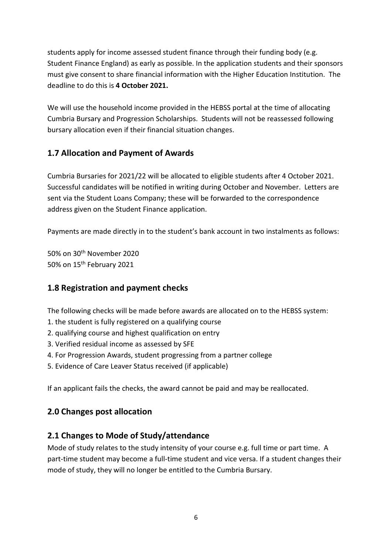students apply for income assessed student finance through their funding body (e.g. Student Finance England) as early as possible. In the application students and their sponsors must give consent to share financial information with the Higher Education Institution. The deadline to do this is **4 October 2021.**

We will use the household income provided in the HEBSS portal at the time of allocating Cumbria Bursary and Progression Scholarships. Students will not be reassessed following bursary allocation even if their financial situation changes.

## **1.7 Allocation and Payment of Awards**

Cumbria Bursaries for 2021/22 will be allocated to eligible students after 4 October 2021. Successful candidates will be notified in writing during October and November. Letters are sent via the Student Loans Company; these will be forwarded to the correspondence address given on the Student Finance application.

Payments are made directly in to the student's bank account in two instalments as follows:

50% on 30th November 2020 50% on 15th February 2021

# **1.8 Registration and payment checks**

The following checks will be made before awards are allocated on to the HEBSS system:

- 1. the student is fully registered on a qualifying course
- 2. qualifying course and highest qualification on entry
- 3. Verified residual income as assessed by SFE
- 4. For Progression Awards, student progressing from a partner college
- 5. Evidence of Care Leaver Status received (if applicable)

If an applicant fails the checks, the award cannot be paid and may be reallocated.

## **2.0 Changes post allocation**

# **2.1 Changes to Mode of Study/attendance**

Mode of study relates to the study intensity of your course e.g. full time or part time. A part-time student may become a full-time student and vice versa. If a student changes their mode of study, they will no longer be entitled to the Cumbria Bursary.